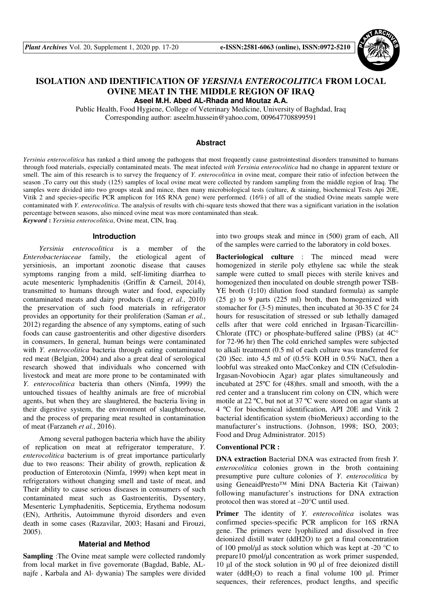

# **ISOLATION AND IDENTIFICATION OF** *YERSINIA ENTEROCOLITICA* **FROM LOCAL OVINE MEAT IN THE MIDDLE REGION OF IRAQ**

**Aseel M.H. Abed AL-Rhada and Moutaz A.A.**

Public Health, Food Hygiene, College of Veterinary Medicine, University of Baghdad, Iraq Corresponding author: aseelm.hussein@yahoo.com, 009647708899591

## **Abstract**

*Yersinia enterocolitica* has ranked a third among the pathogens that most frequently cause gastrointestinal disorders transmitted to humans through food materials, especially contaminated meats. The meat infected *with Yersinia enterocolitica* had no change in apparent texture or smell. The aim of this research is to survey the frequency of *Y. enterocolitica* in ovine meat, compare their ratio of infection between the season ,To carry out this study (125) samples of local ovine meat were collected by random sampling from the middle region of Iraq. The samples were divided into two groups steak and mince, then many microbiological tests (culture, & staining, biochemical Tests Api 20E, Vitik 2 and species-specific PCR amplicon for 16S RNA gene) were performed. (16%) of all of the studied Ovine meats sample were contaminated with *Y. enterocolitica*. The analysis of results with chi-square tests showed that there was a significant variation in the isolation percentage between seasons, also minced ovine meat was more contaminated than steak.

*Keyword* **:** *Yersinia enterocolitica*, Ovine meat, CIN, Iraq.

## **Introduction**

*Yersinia enterocolitica* is a member of the *Enterobacteriaceae* family, the etiological agent of yersiniosis, an important zoonotic disease that causes symptoms ranging from a mild, self-limiting diarrhea to acute mesenteric lymphadenitis (Griffin & Carneil, 2014), transmitted to humans through water and food, especially contaminated meats and dairy products (Long *et al.*, 2010) the preservation of such food materials in refrigerator provides an opportunity for their proliferation (Saman *et al.*, 2012) regarding the absence of any symptoms, eating of such foods can cause gastroenteritis and other digestive disorders in consumers, In general, human beings were contaminated with *Y. enterocolitica* bacteria through eating contaminated red meat (Belgian, 2004) and also a great deal of serological research showed that individuals who concerned with livestock and meat are more prone to be contaminated with *Y. enterocolitica* bacteria than others (Nimfa, 1999) the untouched tissues of healthy animals are free of microbial agents, but when they are slaughtered, the bacteria living in their digestive system, the environment of slaughterhouse, and the process of preparing meat resulted in contamination of meat (Farzaneh *et al.*, 2016).

Among several pathogen bacteria which have the ability of replication on meat at refrigerator temperature, *Y. enterocolitica* bacterium is of great importance particularly due to two reasons: Their ability of growth, replication & production of Enterotoxin (Nimfa, 1999) when kept meat in refrigerators without changing smell and taste of meat, and Their ability to cause serious diseases in consumers of such contaminated meat such as Gastroenteritis, Dysentery, Mesenteric Lymphadenitis, Septicemia, Erythema nodosum (EN), Arthritis, Autoimmune thyroid disorders and even death in some cases (Razavilar, 2003; Hasani and Firouzi, 2005).

## **Material and Method**

**Sampling** :The Ovine meat sample were collected randomly from local market in five governorate (Bagdad, Bable, ALnajfe , Karbala and Al- dywania) The samples were divided into two groups steak and mince in (500) gram of each, All of the samples were carried to the laboratory in cold boxes.

**Bacteriological culture** : The minced mead were homogenized in sterile poly ethylene sac while the steak sample were cutted to small pieces with sterile knives and homogenized then inoculated on double strength power TSB-YE broth (1:10) dilution food standard formula) as sample (25 g) to 9 parts (225 ml) broth, then homogenized with stomacher for (3-5) minutes, then incubated at 30-35 C for 24 hours for resuscitation of stressed or sub lethally damaged cells after that were cold enriched in Irgasan-Ticarcillin-Chlorate (ITC) or phosphate-buffered saline (PBS) (at  $4C^{\circ}$ for 72-96 hr) then The cold enriched samples were subjected to alkali treatment (0.5 ml of each culture was transferred for (20 )Sec. into 4,5 ml of (0.5% KOH in 0.5% NaCl, then a loobful was streaked onto MacConkey and CIN (Cefsulodin-Irgasan-Novobiocin Agar) agar plates simultaneously and incubated at 25ºC for (48)hrs. small and smooth, with the a red center and a translucent rim colony on CIN, which were motile at 22 ºC, but not at 37 ºC were stored on agar slants at 4 ºC for biochemical identification, API 20E and Vitik 2 bacterial identification system (bioMerieux) according to the manufacturer's instructions. (Johnson, 1998; ISO, 2003; Food and Drug Administrator. 2015)

#### **Conventional PCR :**

**DNA extraction** Bacterial DNA was extracted from fresh *Y. enterocolitica* colonies grown in the broth containing presumptive pure culture colonies of *Y*. *enterocolitica* by using GeneaidPresto™ Mini DNA Bacteria Kit (Taiwan) following manufacturer's instructions for DNA extraction protocol then was stored at –20°C until used.

**Primer** The identity of *Y*. *enterocolitica* isolates was confirmed species-specific PCR amplicon for 16S rRNA gene. The primers were lyophilized and dissolved in free deionized distill water (ddH2O) to get a final concentration of 100 pmol/ $\mu$ l as stock solution which was kept at -20 °C to prepare10 pmol/µl concentration as work primer suspended, 10 µl of the stock solution in 90 µl of free deionized distill water (ddH<sub>2</sub>O) to reach a final volume 100  $\mu$ l. Primer sequences, their references, product lengths, and specific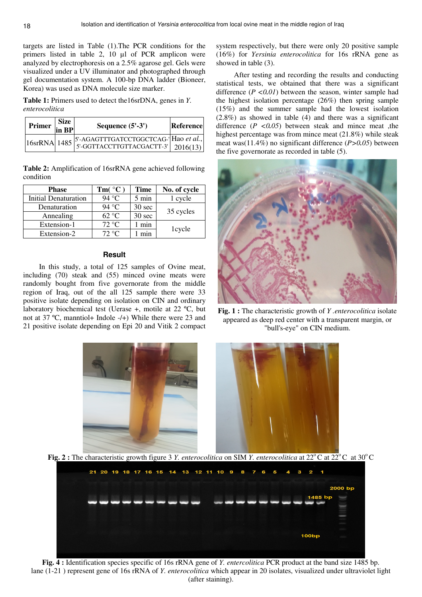targets are listed in Table (1).The PCR conditions for the primers listed in table 2, 10 µl of PCR amplicon were analyzed by electrophoresis on a 2.5% agarose gel. Gels were visualized under a UV illuminator and photographed through gel documentation system. A 100-bp DNA ladder (Bioneer, Korea) was used as DNA molecule size marker.

**Table 1:** Primers used to detect the16srDNA, genes in *Y. enterocolitica* 

| Primer | <b>Size</b><br>$\ln$ BP | Sequence $(5'-3')$                    | Reference |
|--------|-------------------------|---------------------------------------|-----------|
|        |                         | 5'-AGAGTTTGATCCTGGCTCAG-' Hao et al., |           |

**Table 2:** Amplification of 16srRNA gene achieved following condition

| <b>Phase</b>         | $Tm(^{\circ}C)$ | <b>Time</b>      | No. of cycle |  |
|----------------------|-----------------|------------------|--------------|--|
| Initial Denaturation | 94 °C           | 5 min            | 1 cycle      |  |
| Denaturation         | 94 °C           | $30 \text{ sec}$ | 35 cycles    |  |
| Annealing            | $62 \text{ °C}$ | 30 sec           |              |  |
| Extension-1          | $72 \text{ °C}$ | min              |              |  |
| Extension-2          | $72 \text{ °C}$ | min              | 1cycle       |  |

## **Result**

In this study, a total of 125 samples of Ovine meat, including (70) steak and (55) minced ovine meats were randomly bought from five governorate from the middle region of Iraq, out of the all 125 sample there were 33 positive isolate depending on isolation on CIN and ordinary laboratory biochemical test (Uerase +, motile at 22 ºC, but not at 37 ºC, manntiol+ Indole -/+) While there were 23 and 21 positive isolate depending on Epi 20 and Vitik 2 compact

system respectively, but there were only 20 positive sample (16%) for *Yersinia enterocolitica* for 16s rRNA gene as showed in table (3).

After testing and recording the results and conducting statistical tests, we obtained that there was a significant difference  $(P \le 0.01)$  between the season, winter sample had the highest isolation percentage (26%) then spring sample (15%) and the summer sample had the lowest isolation (2.8%) as showed in table (4) and there was a significant difference (*P <0.05*) between steak and mince meat ,the highest percentage was from mince meat (21.8%) while steak meat was(11.4%) no significant difference (*P>0.05*) between the five governorate as recorded in table (5).



**Fig. 1 :** The characteristic growth of *Y .enterocolitica* isolate appeared as deep red center with a transparent margin, or "bull's-eye" on CIN medium.



**Fig. 2 :** The characteristic growth figure 3 *Y. enterocolitica* on SIM *Y. enterocolitica* at  $22^{\circ}$ C at  $22^{\circ}$ C at  $30^{\circ}$ C



**Fig. 4 :** Identification species specific of 16s rRNA gene of *Y. entercolitica* PCR product at the band size 1485 bp. lane (1-21 ) represent gene of 16s rRNA of *Y. enterocolitica* which appear in 20 isolates, visualized under ultraviolet light (after staining).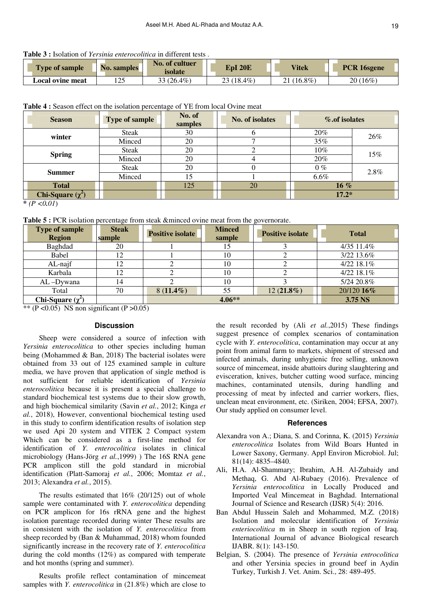**Table 3 :** Isolation of *Yersinia enterocolitica* in different tests .

| <b>Type of sample</b>   | <b>No. samples</b> | No. of cultuer<br>isolate | EpI 20E    | <b>Vitek</b> | PCR 16sgene |
|-------------------------|--------------------|---------------------------|------------|--------------|-------------|
| <b>Local ovine meat</b> | ່າເ<br>⊥∠J         | $33(26.4\%)$              | 23 (18.4%) | $21(16.8\%)$ | 20 (16%)    |

**Table 4 :** Season effect on the isolation percentage of YE from local Ovine meat

| <b>Type of sample</b><br><b>Season</b> |        | No. of<br>samples | No. of isolates | % of isolates |      |  |
|----------------------------------------|--------|-------------------|-----------------|---------------|------|--|
| winter                                 | Steak  | 30                |                 | 20%           | 26%  |  |
|                                        | Minced | 20                |                 | 35%           |      |  |
| <b>Spring</b>                          | Steak  | 20                |                 | 10%<br>15%    |      |  |
|                                        | Minced | 20                |                 | 20%           |      |  |
| <b>Summer</b>                          | Steak  | 20                |                 | $0\%$         | 2.8% |  |
|                                        | Minced | 15                |                 | $6.6\%$       |      |  |
| <b>Total</b>                           |        | 125               | 20              | $16\%$        |      |  |
| Chi-Square $(\chi^2)$                  |        |                   |                 | $17.2*$       |      |  |

 $*(P < 0.01)$ 

**Table 5 :** PCR isolation percentage from steak &minced ovine meat from the governorate.

| <b>Type of sample</b><br><b>Region</b> | <b>Steak</b><br>sample                          | <b>Positive isolate</b> | <b>Minced</b><br>sample | <b>Positive isolate</b> | <b>Total</b> |
|----------------------------------------|-------------------------------------------------|-------------------------|-------------------------|-------------------------|--------------|
| Baghdad                                | 20                                              |                         |                         |                         | 4/35 11.4%   |
| Babel                                  |                                                 |                         | 10                      |                         | 3/22 13.6%   |
| $AL-najf$                              |                                                 |                         | 10                      |                         | 4/22 18.1%   |
| Karbala                                | 12                                              |                         |                         |                         | 4/22 18.1%   |
| $AL$ -Dywana                           | 14                                              |                         | 10                      |                         | 5/24 20.8%   |
| Total                                  | 70                                              | $8(11.4\%)$             | 55                      | $12(21.8\%)$            | 20/120 16%   |
| Chi-Square $(\chi^2)$                  | $\sim$ $\sim$<br>$\sim$ $\sim$ $\sim$<br>$\sim$ | $4.06**$                |                         |                         | 3.75 NS      |

\*\* (P <0.05)NS non significant (P >0.05)

## **Discussion**

Sheep were considered a source of infection with *Yersinia enterocolitica* to other species including human being (Mohammed & Ban, 2018) The bacterial isolates were obtained from 33 out of 125 examined sample in culture media, we have proven that application of single method is not sufficient for reliable identification of *Yersinia enterocolitica* because it is present a special challenge to standard biochemical test systems due to their slow growth, and high biochemical similarity (Savin *et al.*, 2012; Kinga *et al.*, 2018), However, conventional biochemical testing used in this study to confirm identification results of isolation step we used Api 20 system and VITEK 2 Compact system Which can be considered as a first-line method for identification of *Y. enterocolitica* isolates in clinical microbiology (Hans-Jörg *et al.*,1999) ) The 16S RNA gene PCR amplicon still the gold standard in microbial identification (Platt-Samoraj *et al.*, 2006; Momtaz *et al.*, 2013; Alexandra *et al.*, 2015).

The results estimated that 16% (20/125) out of whole sample were contaminated with *Y. enterocolitica* depending on PCR amplicon for 16s rRNA gene and the highest isolation parentage recorded during winter These results are in consistent with the isolation of *Y. enterocolitica* from sheep recorded by (Ban & Muhammad, 2018) whom founded significantly increase in the recovery rate of *Y. enterocolitica*  during the cold months (12%) as compared with temperate and hot months (spring and summer).

Results profile reflect contamination of mincemeat samples with *Y. enterocolitica* in (21.8%) which are close to

the result recorded by (Ali *et al.*,2015) These findings suggest presence of complex scenarios of contamination cycle with *Y. enterocolitica*, contamination may occur at any point from animal farm to markets, shipment of stressed and infected animals, during unhygienic free selling, unknown source of mincemeat, inside abattoirs during slaughtering and evisceration, knives, butcher cutting wood surface, mincing machines, contaminated utensils, during handling and processing of meat by infected and carrier workers, flies, unclean meat environment, etc. (Siriken, 2004; EFSA, 2007). Our study applied on consumer level.

## **References**

- Alexandra von A.; Diana, S. and Corinna, K. (2015) *Yersinia enterocolitica* Isolates from Wild Boars Hunted in Lower Saxony, Germany. Appl Environ Microbiol. Jul; 81(14): 4835–4840.
- Ali, H.A. Al-Shammary; Ibrahim, A.H. Al-Zubaidy and Methaq, G. Abd Al-Rubaey (2016). Prevalence of *Yersinia enterocolitica* in Locally Produced and Imported Veal Mincemeat in Baghdad. International Journal of Science and Research (IJSR) 5(4): 2016.
- Ban Abdul Hussein Saleh and Mohammed, M.Z. (2018) Isolation and molecular identification of *Yersinia enteriocolitica* m in Sheep in south region of Iraq. International Journal of advance Biological research IJABR. 8(1): 143-150.
- Belgian, S. (2004). The presence of *Yersinia entrocolitica*  and other Yersinia species in ground beef in Aydin Turkey, Turkish J. Vet. Anim. Sci., 28: 489-495.